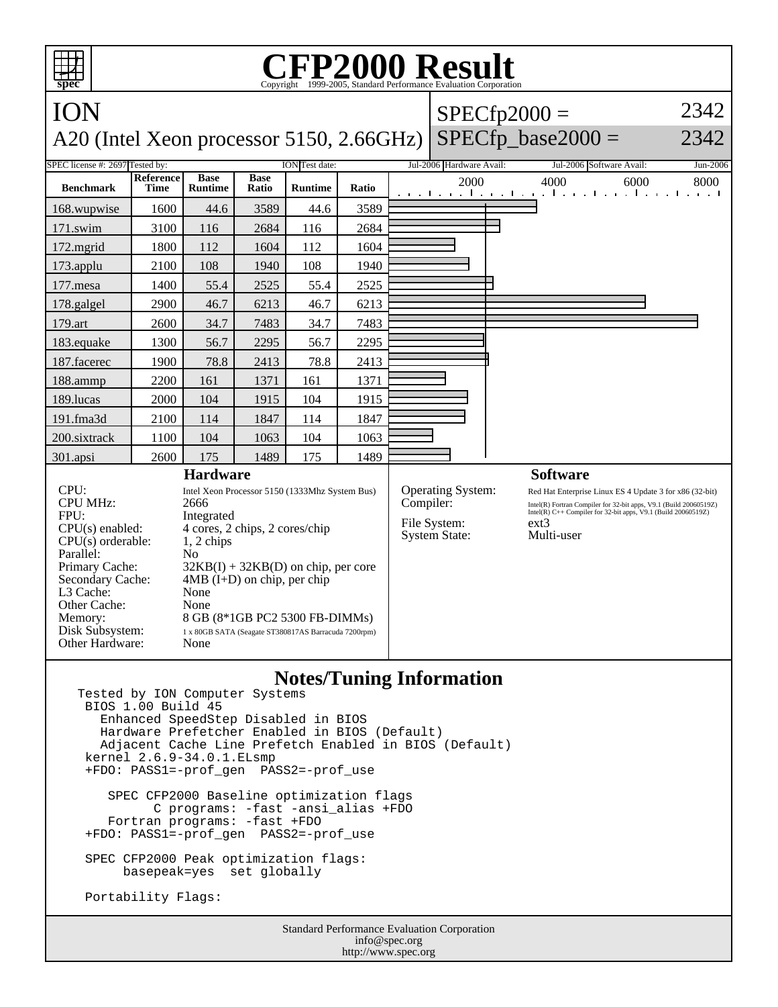## **CFP2000 Result** Copyright ©1999-2005, Stand

ION A20 (Intel Xeon processor 5150, 2.66GHz)  $SPECfp2000 =$  $SPECfp\_base2000 =$ 2342 2342 SPEC license #: 2697 Tested by: ION Test date: Jul-2006 Hardware Avail: Jul-2006 Software Avail: Jun-2006 **Benchmark Reference Time Base Runtime Base Ratio Runtime Ratio** 2000 4000 6000 8000 168.wupwise 1600 44.6 3589 44.6 3589 171.swim | 3100 | 116 | 2684 | 116 | 2684 172.mgrid | 1800 | 112 | 1604 | 112 | 1604 173.applu | 2100 | 108 | 1940 | 108 | 1940 177.mesa | 1400 | 55.4 | 2525 | 55.4 | 2525 178.galgel | 2900 | 46.7 | 6213 | 46.7 | 6213 179.art | 2600 | 34.7 | 7483 | 34.7 | 7483 183.equake 1300 56.7 2295 56.7 2295 187.facerec | 1900 | 78.8 | 2413 | 78.8 | 2413 188.ammp | 2200 | 161 | 1371 | 161 | 1371 189.lucas | 2000 | 104 | 1915 | 104 | 1915 191.fma3d 2100 114 1847 114 1847 200.sixtrack 1100 104 1063 104 1063 301.apsi 2600 175 1489 175 1489 **Hardware** CPU: Intel Xeon Processor 5150 (1333Mhz System Bus) CPU MHz: 2666 FPU: Integrated CPU(s) enabled: 4 cores, 2 chips, 2 cores/chip  $CPU(s)$  orderable:  $1, 2$  chips Parallel: No<br>Primary Cache: 321  $32KB(I) + 32KB(D)$  on chip, per core Secondary Cache: 4MB (I+D) on chip, per chip L3 Cache: None Other Cache: None Memory: 8 GB (8\*1GB PC2 5300 FB-DIMMs) Disk Subsystem: 1 x 80GB SATA (Seagate ST380817AS Barracuda 7200rpm) Other Hardware: None **Software** Operating System: Red Hat Enterprise Linux ES 4 Update 3 for x86 (32-bit)<br>
Compiler: Intel(R) Fortran Compiler for 32-bit apps, V9.1 (Build 20060519Z) Compiler: Intel(R) Fortran Compiler for 32-bit apps, V9.1 (Build 20060519Z)<br>Intel(R) C++ Compiler for 32-bit apps, V9.1 (Build 20060519Z) File System: ext3<br>System State: Multi-user System State:

## **Notes/Tuning Information**

Tested by ION Computer Systems BIOS 1.00 Build 45 Enhanced SpeedStep Disabled in BIOS Hardware Prefetcher Enabled in BIOS (Default) Adjacent Cache Line Prefetch Enabled in BIOS (Default) kernel 2.6.9-34.0.1.ELsmp +FDO: PASS1=-prof\_gen PASS2=-prof\_use SPEC CFP2000 Baseline optimization flags C programs: -fast -ansi\_alias +FDO

 Fortran programs: -fast +FDO +FDO: PASS1=-prof\_gen PASS2=-prof\_use

 SPEC CFP2000 Peak optimization flags: basepeak=yes set globally

Portability Flags:

**spec**

Standard Performance Evaluation Corporation info@spec.org http://www.spec.org